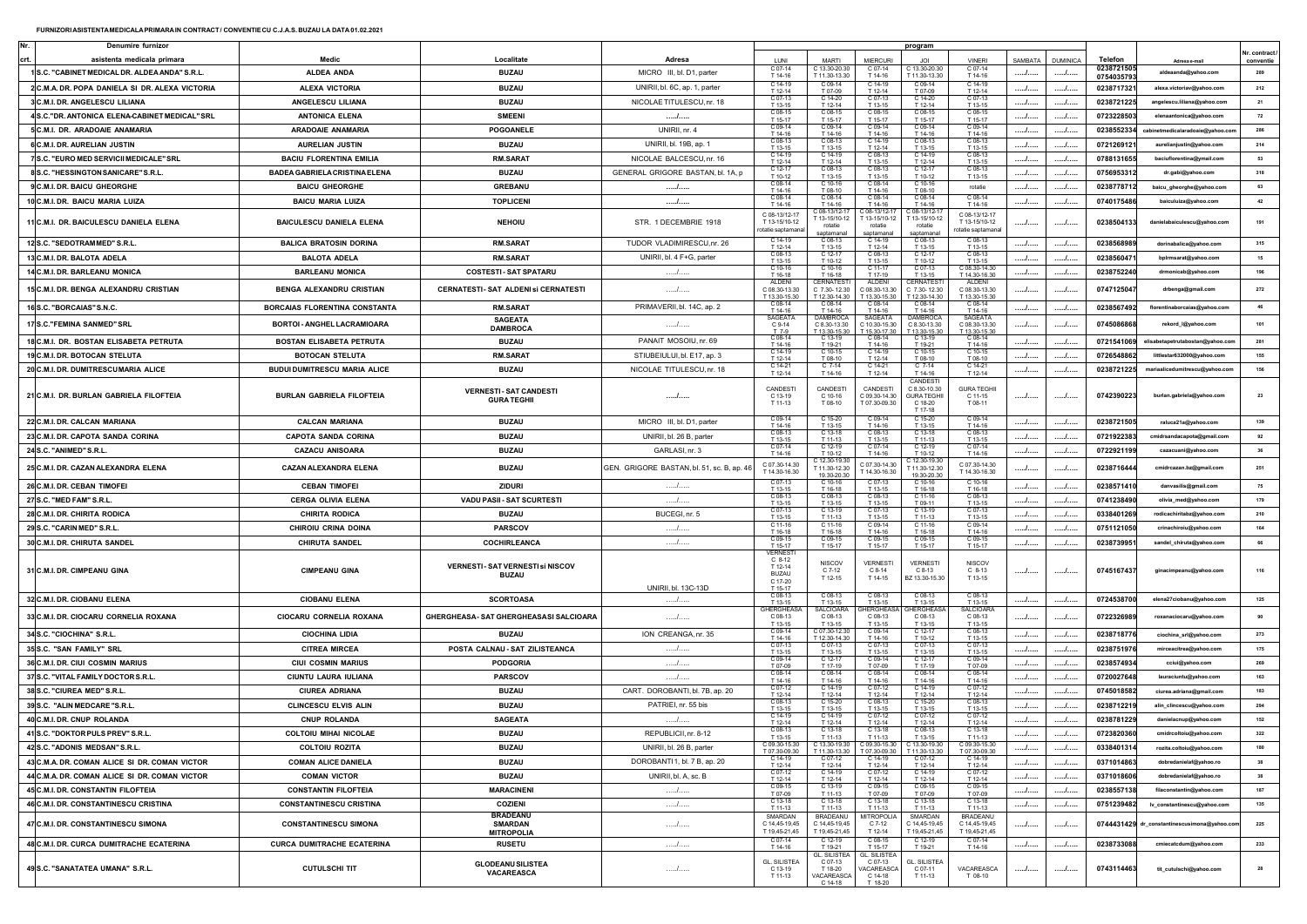| Denumire furnizo                                                             |                                      |                                                         |                                           |                                                                                        |                                                 |                                                            | program                                                           |                                                 |         |                 |            |                                     |                  |
|------------------------------------------------------------------------------|--------------------------------------|---------------------------------------------------------|-------------------------------------------|----------------------------------------------------------------------------------------|-------------------------------------------------|------------------------------------------------------------|-------------------------------------------------------------------|-------------------------------------------------|---------|-----------------|------------|-------------------------------------|------------------|
|                                                                              | Medic                                | Localitate                                              | Adresa                                    | LUN                                                                                    | MART                                            | MIERCU                                                     |                                                                   | VINFR                                           | SAMBATA | <b>DUMINICA</b> | Telefon    |                                     | r. contract      |
| asistenta medicala primara<br>1 S.C. "CABINET MEDICAL DR. ALDEA ANDA" S.R.L. | <b>ALDEA ANDA</b>                    | <b>BUZAU</b>                                            | MICRO III, bl. D1, parter                 | C 07-14                                                                                | C 13.30-20.30                                   | C 07-14                                                    | C 13.30-20.30                                                     | C 07-14                                         | . /     |                 | 0238721505 | Adresa e-mai<br>aldeaanda@yahoo.com | conventie<br>289 |
|                                                                              |                                      |                                                         |                                           | T 14-16<br>C 14-19                                                                     | T 11.30-13.30                                   | T 14-16                                                    | T 11.30-13.30                                                     | T 14-16<br>314-19                               |         |                 | 0754035793 |                                     |                  |
| 2 C.M.A. DR. POPA DANIELA SI DR. ALEXA VICTORIA                              | ALEXA VICTORIA                       | <b>BUZAU</b>                                            | UNIRII, bl. 6C, ap. 1, parter             | T 12-14<br>C 07-13                                                                     | T 07-09                                         | T 12-14                                                    | T 07-09<br>$C$ 14-2                                               | T 12-14<br>$C 07-13$                            |         |                 | 0238717321 | alexa.victoriav@yahoo.com           | 212              |
| 3 C.M.I. DR. ANGELESCU LILIANA                                               | ANGELESCU LILIANA                    | <b>BUZAU</b>                                            | NICOLAE TITULESCU, nr. 18                 | T 13-15                                                                                | T 12-14                                         | T 13-15                                                    | T 12-14                                                           | T 13-15                                         | I       | /               | 0238721225 | angelescu.liliana@yahoo.com         | 21               |
| 4 S.C."DR. ANTONICA ELENA-CABINET MEDICAL" SRL                               | <b>ANTONICA ELENA</b>                | <b>SMEENI</b>                                           |                                           | C 08-15<br>T 15-17                                                                     | C 08-15<br>T 15-17                              | C 08-15<br>T 15-17                                         | C 08-15<br>T 15-17                                                | C 08-15<br>T 15-17                              |         | /               | 0723228503 | elenaantonica@yahoo.com             | 72               |
| 5 C.M.I. DR. ARADOAIE ANAMARIA                                               | <b>ARADOAIE ANAMARIA</b>             | POGOANELE                                               | UNIRII, nr. 4                             | C 09-14<br>T 14-16                                                                     | C 09-14<br>T 14-16                              | C 09-14<br>T 14-16                                         | C 09-14<br>T 14-16                                                | $C$ 09-14<br>T 14-16                            |         | /               | 0238552334 | aie@yahoo.co                        | 286              |
| 6 C.M.I. DR. AURELIAN JUSTIN                                                 | <b>AURELIAN JUSTIN</b>               | <b>BUZAU</b>                                            | UNIRII, bl. 19B, ap. 1                    | C 08-13<br>T 13-15                                                                     | T 13-15                                         | C 14-19<br>T 12-14                                         | T 13-15                                                           | C 08-13<br>T 13-15                              |         | /               | 0721269121 | aurelianjustin@yahoo.com            | 214              |
| 7 S.C. "EURO MED SERVICII MEDICALE" SRL                                      | <b>BACIU FLORENTINA EMILIA</b>       | RM.SARA1                                                | NICOLAE BALCESCU, nr. 16                  | C 14-19<br>T 12-14                                                                     | C 14-19<br>T 12-14                              | C 08-13<br>T 13-15                                         | C 14-19<br>T 12-14                                                | C 08-13<br>T 13-15                              |         | /               | 0788131655 | baciuflorentina@ymail.com           | 53               |
| 8 S.C. "HESSINGTON SANICARE" S.R.L                                           | <b>BADEA GABRIELA CRISTINA ELENA</b> | <b>BUZAU</b>                                            | GENERAL GRIGORE BASTAN, bl. 1A, p         | C 12-17<br>T 10-12                                                                     | C 08-13<br>T 13-15                              | C 08-13<br>T 13-15                                         | C 12-17<br>T 10-12                                                | C 08-13<br>T 13-15                              |         | /               | 0756953312 | dr.gabi@yahoo.com                   | 318              |
| 9 C.M.I. DR. BAICU GHEORGHE                                                  | <b>BAICU GHEORGHE</b>                | <b>GREBANU</b>                                          | .                                         | $C.08-14$                                                                              | $C.10-16$                                       | $C 08-14$                                                  |                                                                   | rotatie                                         | /       | /               | 0238778712 | baicu_gheorghe@yahoo.com            |                  |
| 10 C.M.I. DR. BAICU MARIA LUIZA                                              | <b>BAICU MARIA LUIZA</b>             | <b>TOPLICENI</b>                                        | .                                         | T 14-16<br>$C.08-14$                                                                   | T 08-10                                         | T 14-16                                                    | T 08-10<br>C 08-14                                                | $208-14$                                        |         | /               | 0740175486 | baiculuiza@yahoo.com                | 42               |
|                                                                              |                                      |                                                         |                                           | T 14-16<br>C 08-13/12-17                                                               | T 14-16<br>08-13/12-1                           | T 14-16<br>$C.08 - 13/12 - 12$                             | T 14-16<br>C 08-13/12-1                                           | T 14-16<br>C 08-13/12-17                        |         |                 |            |                                     |                  |
| 11 C.M.I. DR. BAICULESCU DANIELA ELENA                                       | BAICULESCU DANIELA ELENA             | <b>NEHOIU</b>                                           | STR. 1 DECEMBRIE 1918                     | T 13-15/10-12<br>otatie saptaman                                                       | T 13-15/10-12<br>rotatie<br>santamana           | T 13-15/10-12<br>rotatie<br>santamanal                     | T 13-15/10-12<br>rotatie<br>santamana                             | T 13-15/10-12<br>otatie saptamana               |         | . 1 .           | 0238504133 |                                     | 191              |
| 12 S.C. "SEDOTRAMMED" S.R.L.                                                 | <b>BALICA BRATOSIN DORINA</b>        | <b>RM.SARAT</b>                                         | TUDOR VLADIMIRESCU, nr. 26                | C 14-19<br>T 12-14                                                                     | C 08-13<br>T 13.15                              | C 14-19<br>T 12-14                                         | C 08-13<br>T 13-15                                                | C 08-13<br>T 13-15                              |         | .               | 0238568989 | dorinabalica@yahoo.com              | 315              |
| 13 C.M.I. DR. BALOTA ADELA                                                   | <b>BALOTA ADELA</b>                  | <b>RM.SARAT</b>                                         | UNIRII, bl. 4 F+G, parter                 | $C 08-1$<br>T 13-15                                                                    | T 10-12                                         | T 13.15                                                    | C 12-<br>T 10-12                                                  | C 08-13<br>T 13-15                              | . /     | .               | 0238560471 | bplrmsarat@yahoo.com                | 15               |
| 14 C.M.I. DR. BARLEANU MONICA                                                | <b>BARLEANU MONICA</b>               | <b>COSTESTI-SAT SPATARU</b>                             | .                                         | C 10-16<br>T 16-18                                                                     | $C$ 10-1<br>T 16.18                             | C 11-1<br>T 17-19                                          | C 07-13<br>T 13-15                                                | 08.30-14.30<br>T 14.30-16.30                    | I       |                 | 0238752240 | drmonicab@yahoo.com                 | 196              |
|                                                                              | <b>BENGA ALEXANDRU CRISTIAN</b>      |                                                         | /                                         | <b>ALDEN</b><br>C 08.30-13.30                                                          | CERNATES<br>C 7.30-12.30                        | <b>ALDEN</b><br>C 08.30-13.30                              | CERNATE<br>C 7.30-12.30                                           | ALDEN<br>C 08.30-13.30                          |         |                 |            | drbenga@gmail.com                   | 272              |
| 15 C.M.I. DR. BENGA ALEXANDRU CRISTIAN                                       |                                      | CERNATESTI- SAT ALDENI SI CERNATESTI                    |                                           | T 13.30-15.30                                                                          | T 12.30-14.30                                   | T 13.30-15.30                                              | T 12.30-14.3                                                      | T 13.30-15.30                                   | . /     |                 | 0747125047 |                                     |                  |
| 16 S.C. "BORCAIAS" S.N.C.                                                    | BORCAIAS FLORENTINA CONSTANTA        | <b>RM.SARAT</b>                                         | PRIMAVERII, bl. 14C, ap. 2                | T 14-16                                                                                | T 14-16                                         | T 14-16                                                    | C 08-14<br>T 14-16                                                | C 08-14<br>T 14-16                              | /       |                 | 0238567492 | florentinaborcaias@yahoo.com        | 46               |
| 17 S.C. "FEMINA SANMED" SRL                                                  | BORTOI - ANGHEL LACRAMIOARA          | <b>SAGEATA</b><br><b>DAMBROCA</b>                       | .                                         | <b>SAGEATA</b><br>C 9-14                                                               | <b>JAMBROCA</b><br>C8.30-13.30                  | SAGEAT<br>C 10.30-15.30                                    | C8.30-13.30                                                       | <b>SAGEATA</b><br>C 08.30-13.30                 |         |                 | 0745086868 | rekord_I@yahoo.com                  | 101              |
| 18 C.M.I. DR. BOSTAN ELISABETA PETRUTA                                       | BOSTAN ELISABETA PETRUTA             | <b>BUZAU</b>                                            | PANAIT MOSOIU, nr. 69                     | $C 08-14$                                                                              | 13.30-15.30                                     | 15 30-17 30                                                | T 13.30-15.3                                                      | 13.30-15.30                                     |         |                 | 0721541069 | elisabetapetrutabostan@yahoo.com    | 281              |
|                                                                              |                                      |                                                         |                                           | T 14-16<br>C 14-19                                                                     | T 19-21                                         | T 14.16<br>$C$ 14-1                                        | T 19-21<br>C 10-1                                                 | T 14-16<br>$C$ 10-15                            |         |                 |            |                                     |                  |
| 19 C.M.I. DR. BOTOCAN STELUTA                                                | <b>BOTOCAN STELUTA</b>               | <b>RM.SARAT</b>                                         | STIUBEIULUI, bl. E17, ap. 3               | T 12-14<br>C 14-21                                                                     | T 08-10<br>$57-14$                              | T 12-14<br>$C$ 14-2                                        | T 08-10<br>$C$ 7-14                                               | T 08-10<br>C 14-21                              | .       | . /             | 0726548862 | littlestar632000@yahoo.com          | 155              |
| 20 C.M.I. DR. DUMITRESCUMARIA ALICE                                          | <b>BUDUI DUMITRESCU MARIA ALICE</b>  | <b>BUZAU</b>                                            | NICOLAE TITULESCU, nr. 18                 | T 12-14                                                                                | T 14-16                                         | T 12-14                                                    | T 14-16                                                           | T 12-14                                         | I       |                 | 0238721225 | mariaalicedumitrescu@yahoo.com      | 156              |
| 21 C.M.I. DR. BURLAN GABRIELA FILOFTEIA                                      | <b>BURLAN GABRIELA FILOFTEIA</b>     | <b>VERNESTI-SAT CANDESTI</b><br><b>GURA TEGHII</b>      |                                           | CANDESTI<br>C 13-19<br>T 11-13                                                         | CANDEST<br>C 10-16<br>T 08-10                   | CANDESTI<br>C.09.30-14.30<br>T 07.30-09.30                 | CANDEST<br>C.8.30-10.30<br><b>GURATEGHI</b><br>C 18-20<br>T 17-18 | <b>GURA TEGHL</b><br>C 11-15<br>T 08-11         |         |                 | 0742390223 | burlan.gabriela@yahoo.con           | 23               |
| 22 C.M.I. DR. CALCAN MARIANA                                                 | <b>CALCAN MARIANA</b>                | <b>BUZAU</b>                                            | MICRO III, bl. D1, parter                 | $C$ 09-1<br>T 14-16                                                                    | T 13-15                                         | T 14-16                                                    | $C$ 15-20<br>T 13-15                                              | $C$ 09-14<br>T 14-16                            |         | .               | 0238721505 | raluca21a@yahoo.com                 | 139              |
| 23 C.M.I. DR. CAPOTA SANDA CORINA                                            | <b>CAPOTA SANDA CORINA</b>           | <b>BUZAU</b>                                            | UNIRII, bl. 26 B, parter                  | C 08-13<br>T 13-15                                                                     | $C.13-1$<br>T 11.13                             | C 08-13<br>T 13-15                                         | C 13-18<br>T 11-13                                                | C 08-13<br>T 13-15                              | . /     |                 | 0721922383 | cmidrsandacapota@gmail.com          | 92               |
| 24 S.C. "ANIMED" S.R.L                                                       | <b>CAZACU ANISOARA</b>               | <b>BUZAU</b>                                            | GARLASI, nr. 3                            | $C.07-14$                                                                              |                                                 |                                                            |                                                                   | C 07-14                                         |         |                 | 0722921199 | cazacuani@yahoo.com                 | 36               |
|                                                                              |                                      |                                                         |                                           | T 14-16<br>C 07.30-14.30                                                               | T 10-12                                         | T 14-16<br>C 07.30-14.30                                   | T 10-12<br>12.30-19.3                                             | T 14-16<br>C 07.30-14.30                        |         |                 |            |                                     |                  |
| 25 C.M.I. DR. CAZAN ALEXANDRA ELENA                                          | <b>CAZAN ALEXANDRA ELENA</b>         | <b>BUZAU</b>                                            | GEN. GRIGORE BASTAN, bl. 51, sc. B, ap. 4 | T 14.30-16.30                                                                          | 11.30-12.30<br>19.30-20.3                       | T 14.30-16.30                                              | 11.30-12.30<br>19.30-20.3                                         | T 14.30-16.30                                   |         |                 | 0238716444 | cmidrcazan.bz@gmail.com             | 251              |
| 26 C.M.I. DR. CEBAN TIMOFEI                                                  | <b>CEBAN TIMOFEI</b>                 | <b>ZIDURI</b>                                           |                                           | C 07-1<br>T 13-15                                                                      | T 16.18                                         | T 13.15                                                    | T 16-18                                                           | C 10-1<br>T 16-18                               | .       | . /             | 0238571410 | danvasilis@gmail.com                | 75               |
| 27 S.C. "MED FAM" S.R.L.                                                     | <b>CERGA OLIVIA ELENA</b>            | VADU PASII - SAT SCURTESTI                              | /                                         | C 08-13<br>T 13-15                                                                     | C 08-1<br>T 13-15                               | C 08-1<br>T 13-15                                          | C 11-16<br>T 09-11                                                | C 08-13<br>T 13-15                              | I       |                 | 0741238490 | olivia_med@yahoo.com                | 179              |
| 28 C.M.I. DR. CHIRITA RODICA                                                 | CHIRITA RODICA                       | <b>BUZAU</b>                                            | BUCEGI, nr. 5                             | C 07-13                                                                                | C 13-19<br>T 11.13                              | C 07-13<br>T 13.15                                         | C 13-19<br>T 11.13                                                | $C 07-13$                                       | I       | /               | 0338401269 | rodicachiritabz@yahoo.com           | 210              |
| 29 S.C. "CARIN MED" S.R.L.                                                   | CHIROIU CRINA DOINA                  | <b>PARSCOV</b>                                          | /                                         | T 13-15<br>$C$ 11-1                                                                    |                                                 | $C$ 09-1                                                   | $C$ 11-1                                                          | T 13-19<br>$C$ 09-14                            |         |                 | 0751121050 | crinachirolu@yahoo.com              | 164              |
| 30 C.M.I. DR. CHIRUTA SANDEL                                                 | <b>CHIRUTA SANDEL</b>                | COCHIRLEANCA                                            | /                                         | T 16-18<br>C 09-15                                                                     | T 16-18<br>C 09-15                              | T 14-16<br>C 09-15                                         | T 16-18<br>C 09-15                                                | T 14-16<br>C 09-15                              |         | /               | 0238739951 | sandel_chiruta@yahoo.com            | 66               |
| 31 C.M.I. DR. CIMPEANU GINA                                                  | CIMPEANU GINA                        | <b>VERNESTI- SAT VERNESTI SI NISCOV</b><br><b>BUZAU</b> | UNIRII, bl. 13C-13D                       | T 15-17<br><b>VERNEST</b><br>$C_8-12$<br>T 12-14<br><b>BUZAU</b><br>C 17-20<br>T 15-17 | T 15-17<br><b>NISCOV</b><br>$C$ 7-12<br>T 12-15 | T 15-17<br><b>VERNEST</b><br>$C$ 8-14<br>T 14-15           | T 15-17<br>VERNESTI<br>$C$ 8-13<br>3Z 13.30-15.30                 | T 15-17<br><b>NISCOV</b><br>$C_8-13$<br>T 13-15 |         |                 | 0745167437 |                                     | 116              |
| 32 C.M.I. DR. CIOBANU ELENA                                                  | <b>CIOBANU ELENA</b>                 | <b>SCORTOASA</b>                                        | .                                         | C 08-13<br>T 13-15                                                                     | C 08-1<br>T 13-15                               | T 13-15                                                    | $C.08-12$<br>T 13-15                                              | $C$ 08-13<br>T 13-15                            |         | .               | 0724538700 | elena27ciobanu@yahoo.com            | 125              |
| 33 C.M.I. DR. CIOCARU CORNELIA ROXANA                                        | CIOCARU CORNELIA ROXANA              | GHERGHEASA-SAT GHERGHEASASI SALCIOARA                   | .                                         | GHFRGHFA:<br>C 08-13                                                                   | SAI CIOAR<br>C 08-13                            | <b>FRGHEAS</b><br>C 08-13                                  | <b>IFRGHFA</b><br>C 08-13                                         | <b>SALCIOARA</b><br>C 08-13                     |         |                 | 0722326989 | roxanaciocaru@yahoo.com             |                  |
| 34 S.C. "CIOCHINA" S.R.L.                                                    | <b>CIOCHINA LIDIA</b>                | <b>BUZAU</b>                                            | ION CREANGA, nr. 35                       | T 13-15                                                                                | T 13.15<br>$207.30 - 12.$                       | T 13.15                                                    | T 13-15<br>$C 12 -$                                               | T 13-15<br>$208-1$                              | /       | . /             | 0238718776 | ciochina_srl@yahoo.com              | 273              |
| 35 S.C. "SAN FAMILY" SRL                                                     | <b>CITREA MIRCEA</b>                 | POSTA CALNAU - SAT ZILISTEANCA                          |                                           | T 14-16<br>$C 07-1$                                                                    | T 12.30-14.30                                   | T 14-16<br>$C 07 -$                                        | T 10-12<br>C 07-1                                                 | T 13-15<br>C 07-13                              |         |                 |            |                                     |                  |
|                                                                              |                                      |                                                         | . /                                       | T 13-15<br>C 09-1                                                                      | T 13.15                                         | T 13.15<br>$C 09$ -                                        | T 13-15<br>C 12-1                                                 | T 13-15<br>C 09-1                               |         | /               | 0238751976 | mirceacitrea@yahoo.com              | 175              |
| 36 C.M.I. DR. CIUI COSMIN MARIUS                                             | <b>CIUI COSMIN MARIUS</b>            | <b>PODGORIA</b>                                         | . /                                       | T 07-09<br>$C 08-14$                                                                   | T 17-19<br>$C$ 08-1                             | T 07-09<br>$C$ 08-1                                        | T 17-19<br>$C$ 08-14                                              | T 07-09<br>$C 08-14$                            | I       | /               | 0238574934 | cciui@yahoo.com                     | 269              |
| 37 S.C. "VITAL FAMILY DOCTOR S.R.L                                           | CIUNTU LAURA IULIANA                 | <b>PARSCOV</b>                                          | .                                         | T 14-16<br>C 07-1                                                                      | T 14-16<br>C 14-19                              | T 14-16<br>C 07-12                                         | T 14-16<br>C 14-19                                                | $T14-16$<br>$C_0$ 07-12                         |         | /               | 0720027648 | lauraciuntu@yahoo.com               | 163              |
| 38 S.C. "CIUREA MED" S.R.L.                                                  | <b>CIUREA ADRIANA</b>                | <b>BUZAU</b>                                            | CART. DOROBANTI, bl. 7B, ap. 20           | T 12-14<br>$C 08-1$                                                                    | T 12-14<br>C 15-2                               | T 12-14<br>$C$ 08-1                                        | T 12-14<br>C 15-20                                                | T 12-14<br>$C 08-13$                            |         |                 | 0745018582 | ciurea.adriana@gmail.con            | 183              |
| 39 S.C. "ALIN MEDCARE "S.R.L                                                 | <b>CLINCESCU ELVIS ALIN</b>          | <b>BUZAU</b>                                            | PATRIEI, nr. 55 bis                       | T 13-15                                                                                | $T$ 13-1                                        | $T$ 13-1                                                   | T 13-15                                                           | T 13-15                                         | . /     | . /             | 0238712219 | alin_clincescu@yahoo.com            | 294              |
| 40 C.M.I. DR. CNUP ROLANDA                                                   | <b>CNUP ROLANDA</b>                  | <b>SAGEATA</b>                                          | . /                                       | C 14-19<br>T 12-14                                                                     | C 14-19<br>T 12-14                              | C 07-12<br>T 12-14                                         | C 07-12<br>T 12-14                                                | C 07-12<br>T 12-14                              |         | /               | 0238781229 | danielacnup@yahoo.com               | 152              |
| 41 S.C. "DOKTOR PULS PREV" S.R.L                                             | <b>COLTOIU MIHAI NICOLAE</b>         | <b>BUZAU</b>                                            | REPUBLICII, nr. 8-12                      | $C, 08-13$                                                                             | $C.13-18$                                       | C 13-18                                                    | C 08-13                                                           | $C.13 - 18$                                     |         |                 | 0723820360 |                                     | 322              |
| 42 S.C. "ADONIS MEDSAN" S.R.L.                                               | <b>COLTOIU ROZITA</b>                | <b>BUZAU</b>                                            | UNIRII, bl. 26 B, parter                  | C 09.30-15.30<br>T 07.30-09.30                                                         | T 11.30-13.30                                   | C 13.30-19.30 C 09.30-15.30 C 13.30-19.30<br>T 07.30-09.30 | T 11 30-13 30                                                     | C09.30-15.30<br>T 07.30-09.30                   | .       | /               | 0338401314 | rozita.coltoiu@yahoo.com            | 180              |
| 43 C.M.A. DR. COMAN ALICE SI DR. COMAN VICTOR                                | <b>COMAN ALICE DANIELA</b>           | <b>BUZAU</b>                                            | DOROBANTI1, bl. 7 B, ap. 20               | C 14-19<br>T 12-14                                                                     | $C.07-12$<br>T 12-14                            | C 14-19<br>T 12-14                                         | $C.07-12$<br>T 12-14                                              | C 14-19<br>T 12-14                              |         |                 | 0371014863 | dobredanielaf@yahoo.ro              | 38               |
| 44 C.M.A. DR. COMAN ALICE SI DR. COMAN VICTOR                                | <b>COMAN VICTOR</b>                  | <b>BUZAU</b>                                            | UNIRII, bl. A. sc. B                      | C 07-12<br>$T$ 12-14                                                                   | $C.14-19$                                       | T 12-14                                                    | $C.14-19$                                                         | C 07-12                                         |         |                 | 0371018606 | dobredanielaf@yahoo.ro              | 38               |
| 45 C.M.I. DR. CONSTANTIN FILOFTEIA                                           | <b>CONSTANTIN FILOFTEIA</b>          | <b>MARACINENI</b>                                       | /                                         | C 09-15                                                                                | T 12-14<br>C 13-19                              | C 09-15                                                    | T 12-14<br>$C.09-15$                                              | T 12-14<br>C 09-15                              | I       |                 | 0238557138 | filaconstantin@yahoo.com            | 187              |
|                                                                              |                                      |                                                         | /                                         | T 07-09<br>C 13-18                                                                     | T 11-13<br>C 13-18                              | T07-09<br>$C$ 13-18                                        | T 07-09<br>$C$ 13-1                                               | T 07-09<br>C 13-18                              |         | /               |            |                                     | 135              |
| 46 C.M.I. DR. CONSTANTINESCU CRISTINA                                        | <b>CONSTANTINESCU CRISTINA</b>       | <b>COZIENI</b><br><b>BRADEANU</b>                       |                                           | T 11-13<br>SMARDAN                                                                     | T 11-13                                         | T 11-13                                                    | T 11-13<br>SMARDAN                                                | T 11-13                                         | I       | /               | 0751239482 | lv_constantinescu@yahoo.com         |                  |
| 47 C.M.I. DR. CONSTANTINESCU SIMONA                                          | <b>CONSTANTINESCU SIMONA</b>         | <b>SMARDAN</b>                                          | .                                         | C 14,45-19,45                                                                          | BRADEANU<br>C 14,45-19,45                       | MITROPOLIA<br>C 7-12                                       | C 14,45-19,45                                                     | <b>BRADEANU</b><br>C 14,45-19,45                |         | /               | 0744431429 | dr_constantinescusimona@yahoo.co    | 225              |
|                                                                              |                                      | <b>MITROPOLIA</b>                                       |                                           | T 19,45-21,45<br>C 07-14                                                               | T 19,45-21,45<br>C 12-19                        | T 12-14<br>C 08-15                                         | T 19,45-21,45<br>C 12-19                                          | T 19,45-21,45<br>C 07-14                        |         |                 |            |                                     |                  |
| 48 C.M.I. DR. CURCA DUMITRACHE ECATERINA                                     | <b>CURCA DUMITRACHE ECATERINA</b>    | <b>RUSETU</b>                                           | /                                         | T 14-16                                                                                | T 19-21<br>L. SILISTE/                          | T 15.17<br><b>GL. SILISTEA</b>                             | T 19-21                                                           | T 14-16                                         | /       | /               | 0238733088 | cmiecatcdum@yahoo.com               | 233              |
| 49 S.C. "SANATATEA UMANA" S.R.L.                                             | <b>CUTULSCHI TIT</b>                 | <b>GLODEANU SILISTEA</b><br>VACAREASCA                  | .                                         | <b>GL. SILISTEA</b><br>C 13-19<br>T 11-13                                              | C 07-13<br>T 18-20<br>VACAREASCA<br>C 14-18     | C 07-13<br>VACAREASCA<br>C 14-18<br>T 18-20                | <b>GL. SILISTEA</b><br>C 07-11<br>T 11-13                         | VACAREASCA<br>T 08-10                           |         |                 | 0743114463 | tit_cutulschi@yahoo.com             | 28               |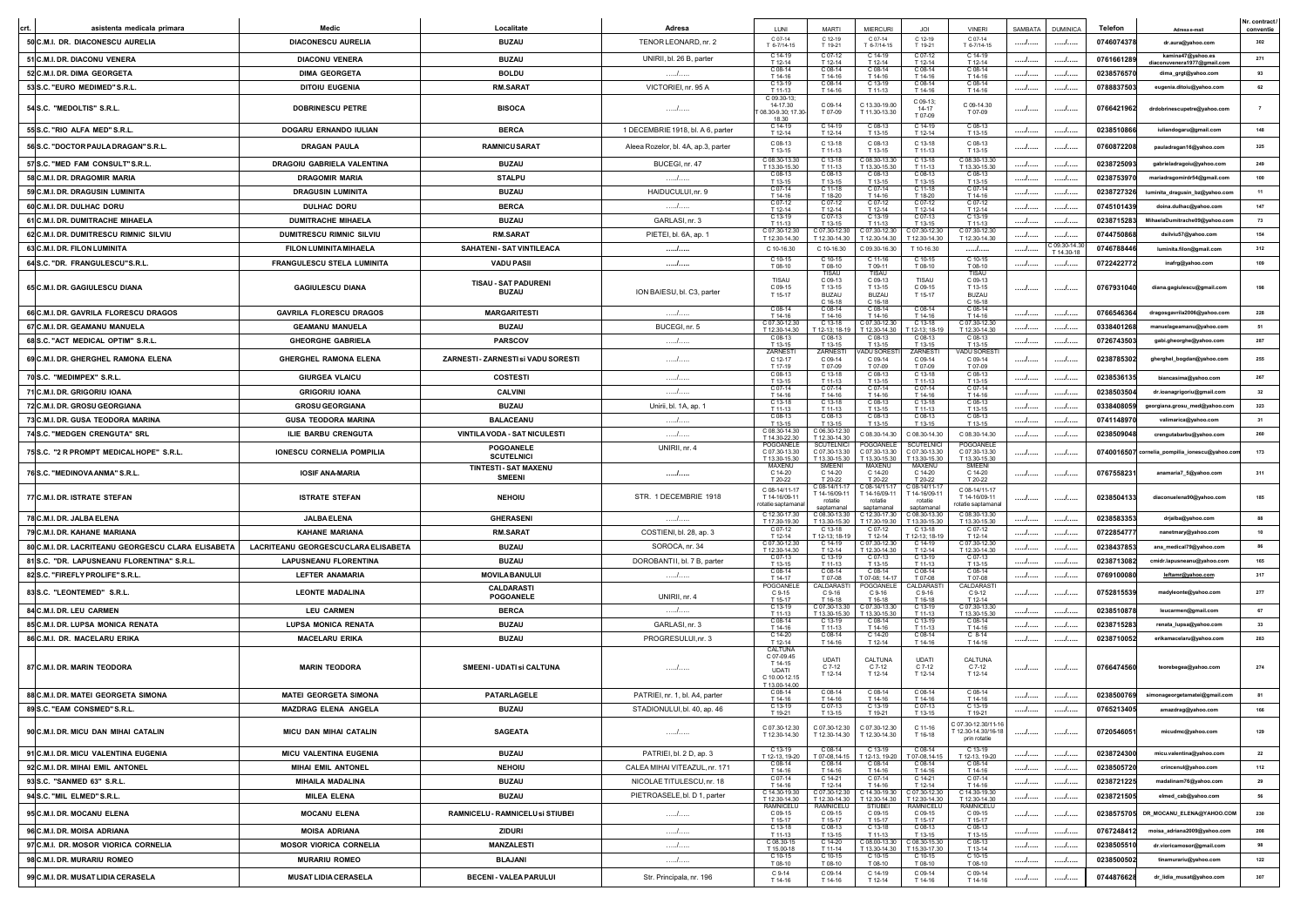|                                                    |                                     |                                               |                                     |                                                                                    |                                                      |                                                                     |                                                  |                                                                            |         |                 |                |                                                  | Nr. contract |
|----------------------------------------------------|-------------------------------------|-----------------------------------------------|-------------------------------------|------------------------------------------------------------------------------------|------------------------------------------------------|---------------------------------------------------------------------|--------------------------------------------------|----------------------------------------------------------------------------|---------|-----------------|----------------|--------------------------------------------------|--------------|
| asistenta medicala primara                         | Medic                               | Localitate                                    | <b>Adresa</b>                       |                                                                                    | MART                                                 | <b>MIERCURI</b>                                                     |                                                  | <b>VINER</b>                                                               | SAMBATA | <b>DUMINICA</b> | <b>Telefon</b> | Adresa e-mail                                    | conventie    |
| 50 C.M.I. DR. DIACONESCU AURELIA                   | <b>DIACONESCU AURELIA</b>           | <b>BUZAU</b>                                  | TENOR LEONARD, nr. 2                | $C.07-14$<br>T 6-7/14-15                                                           | $C$ 12-19<br>T 19-21                                 | $C.07-14$<br>T 6-7/14-15                                            | $C.12-19$<br>T 19-21                             | $C.07-14$<br>T 6-7/14-15                                                   | .       | . /             | 0746074378     | dr.aura@yahoo.com                                |              |
| 51 C.M.I. DR. DIACONU VENERA                       | <b>DIACONU VENERA</b>               | <b>BUZAU</b>                                  | UNIRII, bl. 26 B, parter            | $C.14-19$<br>T 12-14                                                               | T 12-14                                              | $C.14-19$<br>T 12-14                                                | T 12-14                                          | $C.14-19$<br>T 12-14                                                       | . /     |                 | 0761661289     | kamina47@yahoo.es<br>diaconuvenera1977@gmail.com | 271          |
| 52 C.M.I. DR. DIMA GEORGETA                        | <b>DIMA GEORGETA</b>                | <b>BOLDU</b>                                  |                                     | C 08-14<br>T 14-16                                                                 | C 08-14<br>T 14-16                                   | C 08-14<br>T 14-16                                                  | $C$ 08-14<br>T 14.16                             | C 08-14<br>T 14-16                                                         |         | .               | 0238576570     | dima_grgt@yahoo.com                              | 93           |
| 53 S.C. "EURO MEDIMED" S.R.L.                      | <b>DITOIU EUGENIA</b>               | <b>RM.SARAT</b>                               | VICTORIEI, nr. 95 A                 | C 13-19<br>T 11-13                                                                 | $C 08-14$<br>T 14-16                                 | T 11-13                                                             | C 08-14<br>T 14-16                               | C 08-14<br>T 14-16                                                         | /       | I               | 0788837503     | eugenia.ditoiu@yahoo.com                         | 62           |
| 54 S.C. "MEDOLTIS" S.R.L.                          | <b>DOBRINESCU PETRE</b>             | <b>BISOCA</b>                                 | /                                   | C 09.30-13<br>14-17.30<br>08.30-9.30; 17.30-                                       | C 09-14<br>T 07-09                                   | C 13.30-19.00<br>T 11.30-13.30                                      | C 09-13:<br>14-17<br>T 07-09                     | C 09-14.30<br>T 07-09                                                      |         |                 | 0766421962     | drdobrinescupetre@yahoo.com                      |              |
|                                                    |                                     |                                               |                                     | 18.30<br>C 14-19                                                                   | C 14-19                                              | C 08-13                                                             | C 14-19                                          | $C$ 08-13                                                                  |         |                 |                |                                                  | 148          |
| 55 S.C. "RIO ALFA MED" S.R.L.                      | DOGARU ERNANDO IULIAN               | <b>BERCA</b>                                  | 1 DECEMBRIE 1918, bl. A 6, parter   | T 12-14<br>C 08-13                                                                 | T 12-14<br>C 13-18                                   | T 13-15<br>C 08-13                                                  | T 12-14<br>C 13-18                               | T 13-15<br>C 08-13                                                         | /       |                 | 0238510866     | iuliandogaru@gmail.com                           |              |
| 56 S.C. "DOCTOR PAULA DRAGAN" S.R.L.               | <b>DRAGAN PAULA</b>                 | <b>RAMNICU SARAT</b>                          | Aleea Rozelor, bl. 4A, ap.3, parter | T 13-15                                                                            | T 11-13                                              | T 13-15                                                             | T 11-13                                          | T 13-15                                                                    |         |                 | 0760872208     | pauladragan16@yahoo.com                          | 325          |
| 57 S.C. "MED FAM CONSULT"S.R.L.                    | DRAGOIU GABRIELA VALENTINA          | <b>BUZAU</b>                                  | BUCEGI, nr. 47                      | C 08.30-13.30<br>T 13.30-15.30                                                     | C 13-18<br>T 11.13                                   | 08.30-13.3<br>T 13 30-15 30                                         | $C$ 13-18<br>T 11.13                             | 08.30-13.3<br>T 13.30-15.30                                                | /       | /               | 0238725093     | gabrieladragoiu@yahoo.com                        | 249          |
| 58 C.M.I. DR. DRAGOMIR MARIA                       | <b>DRAGOMIR MARIA</b>               | <b>STALPU</b>                                 | .                                   | T 13-15                                                                            | T 13.15                                              | T 13.15                                                             | $C08-1$<br>T 13.15                               | T 13-15                                                                    |         | /               | 0238753970     | mariadragomirdr54@gmail.com                      | 100          |
| 59 C.M.I. DR. DRAGUSIN LUMINITA                    | <b>DRAGUSIN LUMINITA</b>            | <b>BUZAU</b>                                  | HAIDUCULUI, nr. 9                   | C 07-14<br>T 14-16                                                                 | $C.11-18$<br>T 18-20                                 | C 07-14<br>T 14-16                                                  | C 11-18<br>T 18-20                               | C 07-14<br>T 14-16                                                         | /       | I               | 0238727326     | luminita_dragusin_bz@yahoo.com                   | 11           |
| 60 C.M.I. DR. DULHAC DORU                          | <b>DULHAC DORU</b>                  | <b>BERCA</b>                                  | .                                   | C 07-12<br>T 12-14                                                                 | C 07-12<br>$T 12 - 14$                               | C 07-12<br>T 12-14                                                  | C 07-12<br>T 12-14                               | C 07-12<br>T 12-14                                                         | /       |                 | 0745101439     | doina.dulhac@vahoo.com                           | 147          |
| 61 C.M.I. DR. DUMITRACHE MIHAELA                   | <b>DUMITRACHE MIHAELA</b>           | <b>BUZAU</b>                                  | GARLASI, nr. 3                      | C 13-19<br>T 11-13                                                                 | T 13-15                                              | C 13-19<br>T 11.13                                                  | C 07-13<br>T 13-15                               | C 13-19<br>T 11-13                                                         | /       | I               | 0238715283     | MihaelaDumitrache09@yahoo.cor                    | 73           |
| 62 C.M.I. DR. DUMITRESCU RIMNIC SILVIU             | <b>DUMITRESCU RIMNIC SILVIU</b>     | <b>RM.SARAT</b>                               | PIETEI, bl. 6A, ap. 1               | C 07.30-12.30                                                                      | 07.30-12.3                                           | C 07.30-12.30                                                       | 207.30-12.3                                      | C 07.30-12.30                                                              | /       |                 | 0744750868     | dsilviu57@yahoo.com                              | 154          |
| 63 C.M.I. DR. FILON LUMINITA                       | FILON LUMINITA MIHAELA              | SAHATENI - SAT VINTILEACA                     | .                                   | T 12.30-14.30<br>C 10-16.30                                                        | T 12.30-14.30<br>C 10-16.30                          | 12.30-14.30<br>C 09.30-16.30                                        | T 12.30-14.30<br>T 10-16.30                      | T 12.30-14.30<br>.                                                         | .       | $209.30 - 14.3$ | 0746788446     | luminita.filon@gmail.com                         | 312          |
| 64 S.C. "DR. FRANGULESCU"S.R.L.                    | FRANGULESCU STELA LUMINITA          | <b>VADU PASII</b>                             |                                     | C 10-15                                                                            | $C.10-15$                                            | C 11-16                                                             | C 10-15                                          | C 10-15                                                                    | .       | T 14.30-18<br>  | 0722422772     | inafrg@yahoo.com                                 | 109          |
| 65 C.M.I. DR. GAGIULESCU DIANA                     | <b>GAGIULESCU DIANA</b>             | TISAU - SAT PADURENI<br><b>BUZAU</b>          | ION BAIESU, bl. C3, parter          | T 08-10<br>TISAU<br>C 09-15<br>T 15-17                                             | T 08-10<br>C 09-13<br>T 13-15<br>BUZAU<br>$C.16-18$  | T 09-11<br>TISAU<br>C 09-13<br>T 13-15<br><b>BUZAU</b><br>$C.16-18$ | T 08-10<br>C 09-15<br>T 15-17                    | T 08-10<br><b>TISAU</b><br>C 09-13<br>T 13-15<br><b>BUZAU</b><br>$C.16-18$ |         |                 | 0767931040     | diana.gagiulescu@gmail.com                       | 198          |
| 66 C.M.I. DR. GAVRILA FLORESCU DRAGOS              | <b>GAVRILA FLORESCU DRAGOS</b>      | <b>MARGARITESTI</b>                           | .                                   | $C.08-14$<br>T 14-16                                                               | $C.08-14$<br>T 14-16                                 | $C.08-14$<br>T 14-16                                                | $C.08-1$<br>T 14-16                              | $C.08-14$<br>T 14-16                                                       | /       |                 | 0766546364     | dragosgavrila2006@yahoo.com                      | 228          |
| 67 C.M.I. DR. GEAMANU MANUELA                      | <b>GEAMANU MANUELA</b>              | <b>BUZAU</b>                                  | BUCEGI, nr. 5                       | 07.30-12.3                                                                         | C 13-18                                              | $207.30 - 12.3$                                                     | $C$ 13-18                                        | 07.30-12.3                                                                 |         | /               | 0338401268     | manuelageamanu@yahoo.com                         | 51           |
| 68 S.C. "ACT MEDICAL OPTIM" S.R.L.                 | <b>GHEORGHE GABRIELA</b>            | <b>PARSCOV</b>                                | .                                   | T 12.30-14.30<br>C 08-13                                                           | 12-13: 18-1                                          | T 12.30-14.30                                                       | $12-13.18-1$<br>C 08-1                           | T 12.30-14.30<br>C 08-13                                                   | /       | I               | 0726743503     | gabi.gheorghe@yahoo.com                          | 287          |
| 69 C.M.I. DR. GHERGHEL RAMONA ELENA                | <b>GHERGHEL RAMONA ELENA</b>        | ZARNESTI - ZARNESTI si VADU SORESTI           | /                                   | T 13-15<br><b>ZARNEST</b><br>C 12-17<br>T 17-19                                    | T 13.15<br>ZARNES <sub>1</sub><br>C 09-14<br>T 07-09 | T 13.15<br>ADU SOREST<br>C 09-14<br>T 07-09                         | T 13.15<br>ZARNEST<br>C 09-14<br>T 07-09         | T 13.15<br><b>ADU SOREST</b><br>C 09-14<br>T 07-09                         | . /     |                 | 0238785302     | gherghel_bogdan@yahoo.com                        | 255          |
| 70 S.C. "MEDIMPEX" S.R.L.                          | <b>GIURGEA VLAICU</b>               | <b>COSTESTI</b>                               | .                                   | $C.08-13$                                                                          | $C.13-18$                                            | C 08-13                                                             | C 13-18                                          | $C.08-13$                                                                  | /       | .               | 0238536135     | biancasima@yahoo.com                             | 267          |
| 71 C.M.I. DR. GRIGORIU IOANA                       | <b>GRIGORIU IOANA</b>               | <b>CALVINI</b>                                | .                                   | T 13-15                                                                            | T 11-13<br>$C.07-14$                                 | T 13-15                                                             | T 11-13<br>C 07-14                               | T 13-15<br>$C.07-14$                                                       | . /     |                 | 0238503504     | dr.ioanagrigoriu@gmail.com                       | 32           |
| 72 C.M.I. DR. GROSU GEORGIANA                      |                                     |                                               | Unirii, bl. 1A, ap. 1               | T 14-16<br>C 13-18                                                                 | T 14-16<br>C 13-18                                   | T 14-16<br>C 08-13                                                  | T 14-16<br>C 13-18                               | T 14-16<br>$C$ 08-13                                                       |         |                 |                |                                                  | 323          |
|                                                    | <b>GROSU GEORGIANA</b>              | <b>BUZAU</b>                                  |                                     | T 11-13                                                                            | T 11.13                                              | T 13.15                                                             | T 11.13<br>C 08-1                                | T 13-15<br>C 08-13                                                         | /       | .               | 0338408059     | georgiana.grosu_med@yahoo.com                    |              |
| 73 C.M.I. DR. GUSA TEODORA MARINA                  | <b>GUSA TEODORA MARINA</b>          | <b>BALACEANU</b>                              | .                                   | T 13.15<br>C 08.30-14.30                                                           | T 13.15<br>C 06.30-12.3                              | T 13-15                                                             | T 13-15                                          | T 13-15                                                                    | /       | /               | 0741148970     | valimarica@yahoo.com                             | 31           |
| 74 S.C. "MEDGEN CRENGUTA" SRL                      | ILIE BARBU CRENGUTA                 | VINTILA VODA - SAT NICULESTI                  | /                                   | T 14.30-22.30<br>POGOANEL                                                          | T 12.30-14.3<br>SCUTELNIO                            | C 08.30-14.30<br>OGOANE                                             | C 08.30-14.30<br><b>SCUTELNIC</b>                | C 08.30-14.30<br>OGOANEL                                                   | /       | I               | 0238509048     | crengutabarbu@yahoo.com                          | 260          |
| 75 S.C. "2 R PROMPT MEDICAL HOPE" S.R.L.           | <b>IONESCU CORNELIA POMPILIA</b>    | <b>POGOANELE</b><br><b>SCUTELNICI</b>         | UNIRII, nr. 4                       | C 07.30-13.30<br>T 13.30-15.30                                                     | C 07.30-13.30<br>13.30-15.30                         | C 07.30-13.30<br>T 13.30-15.30                                      | C 07.30-13.30<br>T 13.30-15.30                   | C 07.30-13.30<br>T 13.30-15.30                                             | . /     | 1               |                | 0740016507 cornelia_pompilia_ionescu@yahoo.c     | 173          |
| 76 S.C. "MEDINOVAANMA" S.R.L.                      | <b>IOSIF ANA-MARIA</b>              | <b>TINTESTI - SAT MAXENU</b><br><b>SMEENI</b> | /                                   | MAXENI<br>C 14-20<br>T 20-2:                                                       | C 14-20                                              | WAXENU<br>C 14-20                                                   | MAXENU<br>C 14-20<br>F 20-2                      | C 14-20<br>T 20-2:                                                         | I       |                 | 0767558231     | anamaria7_5@yahoo.com                            |              |
| 77 C.M.I. DR. ISTRATE STEFAN                       | <b>ISTRATE STEFAN</b>               | <b>NEHOIU</b>                                 | STR. 1 DECEMBRIE 1918               | C 08-14/11-17<br>T 14-16/09-11<br>otatie saptamana                                 | T 14-16/09-11<br>rotatie                             | $: 08 - 14/11$<br>14-16/09-11                                       | 08-14/11<br>T 14-16/09-11<br>rotatie             | C 08-14/11-17<br>T 14-16/09-11<br>otatie saptamana                         |         |                 | 0238504133     | diaconuelena90@yahoo.com                         | 185          |
| 78 C.M.I. DR. JALBA ELENA                          | <b>JALBA ELENA</b>                  | <b>GHERASENI</b>                              | /                                   | C 12.30-17.30<br>T 17.30-19.30                                                     | C 08.30-13.30<br>T 13.30-15.30                       | C 12.30-17.30<br>T 17.30-19.30                                      | C 08.30-13.30<br>T 13.30-15.30                   | C 08.30-13.30<br>T 13.30-15.30                                             | /       |                 | 0238583353     | drjalba@yahoo.com                                | 88           |
| 79 C.M.I. DR. KAHANE MARIANA                       | <b>KAHANE MARIANA</b>               | <b>RM.SARAT</b>                               | COSTIENI, bl. 28, ap. 3             | C 07-12<br>T 12-14                                                                 | 12-13:18-19                                          | T 12-14                                                             | T 12-13: 18-19                                   | T 12-14                                                                    | /       |                 | 0722854777     | nanetmary@yahoo.com                              | 10           |
| 80 C.M.I. DR. LACRITEANU GEORGESCU CLARA ELISABETA | LACRITEANU GEORGESCUCLARA ELISABETA | <b>BUZAU</b>                                  | SOROCA, nr. 34                      | C 07.30-12.30<br>T 12.30-14.30                                                     | $C.14-19$<br>T 12-14                                 | $207.30 - 12.30$<br>T 12.30-14.30                                   | C 14-19<br>T 12-14                               | 207.30-12.30<br>T 12.30-14.30                                              | .       | . /             | 0238437853     | ana_medical79@yahoo.com                          | 86           |
| 81 S.C. "DR. LAPUSNEANU FLORENTINA" S.R.L          | <b>LAPUSNEANU FLORENTINA</b>        | <b>BUZAU</b>                                  | DOROBANTII, bl. 7 B, parter         | C 07-13<br>T 13-15                                                                 | C 13-19<br>T 11-13                                   | C 07-13<br>T 13-15                                                  | C 13-19<br>T 11-13                               | $C.07-13$<br>T 13-15                                                       | .       |                 | 0238713082     | cmidr.lapusneanu@yahoo.com                       | 165          |
| 82 S.C. "FIREFLY PROLIFE" S.R.L                    | <b>LEFTER ANAMARIA</b>              | <b>MOVILA BANULUI</b>                         | .                                   | C 08-14                                                                            | C 08-14                                              | C 08-14                                                             | C 08-14                                          | C 08-14                                                                    | /       |                 | 0769100080     | leftamr@yahoo.com                                | 317          |
| 83 S.C. "LEONTEMED" S.R.L.                         | <b>LEONTE MADALINA</b>              | CALDARASTI<br>POGOANELE                       | UNIRII, nr. 4                       | T 14-17<br>POGOANE<br>C 9-15<br>T 15-17                                            | T07-08<br>CAI DARAS<br>$C.9 - 16$<br>T 16-18         | T 07-08: 14-17<br>POGOANELE<br>$C.9 - 16$<br>T 16-18                | T07-08<br>AI DARAS<br>$C.9 - 16$<br>T 16-18      | T07-08<br><b>CALDARAS</b><br>$C.9-12$<br>T 12-14                           |         |                 | 0752815539     | madyleonte@yahoo.com                             | 277          |
| 84 C.M.I. DR. LEU CARMEN                           | <b>LEU CARMEN</b>                   | <b>BERCA</b>                                  | .                                   | $C.13-19$<br>T 11-13                                                               | C 07 30-13 3<br>T 13 30-15 30                        | 207 30-13 30<br>T 13 30-15 30                                       | C 13-19<br>T 11-13                               | C 07.30-13.30<br>T 13 30-15 30                                             | . /     | /               | 0238510878     | leucarmen@gmail.com                              | 67           |
| 85 C.M.I. DR. LUPSA MONICA RENATA                  | <b>LUPSA MONICA RENATA</b>          | <b>BUZAU</b>                                  | GARLASI, nr. 3                      | C 08-14<br>T 14-16                                                                 | C 13-19<br>T 11.13                                   | C 08-14<br>T 14-16                                                  | C 13-19<br>T 11.13                               | C 08-14<br>T 14-16                                                         |         | /               | 0238715283     | renata_lupsa@yahoo.com                           | 33           |
| 86 C.M.I. DR. MACELARU ERIKA                       | <b>MACELARU ERIKA</b>               | <b>BUZAU</b>                                  | PROGRESULUI, nr. 3                  | T 12-14                                                                            | T 14-16                                              | C 14-20<br>T 12-14                                                  | C 08-14<br>T 14-16                               | $C_8-14$<br>T 14-16                                                        | /       | I               | 0238710052     | erikamacelaru@yahoo.com                          | 283          |
| 87 C.M.I. DR. MARIN TEODORA                        | <b>MARIN TEODORA</b>                | SMEENI - UDATI si CALTUNA                     | .                                   | CALTUNA<br>C 07-09.45<br>T 14-15<br><b>UDATI</b><br>C 10.00-12.15<br>T 13.00-14.00 | <b>UDATI</b><br>$C.7-12$<br>T 12-14                  | CALTUNA<br>$C.7-12$<br>T 12-14                                      | <b>UDATI</b><br>$C.7-12$<br>T 12-14              | CALTUNA<br>$C7-12$<br>T 12-14                                              | .       |                 | 0766474560     | teorebegea@vahoo.com                             | 274          |
| 88 C.M.I. DR. MATEI GEORGETA SIMONA                | <b>MATEI GEORGETA SIMONA</b>        | <b>PATARLAGELE</b>                            | PATRIEI, nr. 1, bl. A4, parter      | C 08-14<br>T 14-16                                                                 | C 08-14<br>T 14-16                                   | C 08-14<br>T 14-16                                                  | C 08-14<br>T 14-16                               | C 08-14<br>T 14-16                                                         | /       |                 | 0238500769     | simonageorgetamatei@gmail.com                    | 81           |
| 89 S.C. "EAM CONSMED" S.R.L                        | <b>MAZDRAG ELENA ANGELA</b>         | <b>BUZAU</b>                                  | STADIONULUI.bl. 40, ap. 46          | C 13-19                                                                            | $C.07-13$                                            | C 13-19                                                             | C 07-13<br>T 13-15                               | C 13-19                                                                    |         |                 | 0765213405     |                                                  | 166          |
| 90 C.M.I. DR. MICU DAN MIHAI CATALIN               | MICU DAN MIHAI CATALIN              | <b>SAGEATA</b>                                | /                                   | C 07.30-12.30<br>T 12.30-14.30                                                     | C 07.30-12.30<br>T 12.30-14.30                       | C 07.30-12.30<br>T 12.30-14.30                                      | $C.11-16$<br>T 16-18                             | 07.30-12.30/11-16<br>12.30-14.30/16-18<br>prin rotatie                     |         |                 | 0720546051     | micudmc@yahoo.com                                | 129          |
| 91 C.M.I. DR. MICU VALENTINA EUGENIA               | MICU VALENTINA EUGENIA              | <b>BUZAU</b>                                  | PATRIEI, bl. 2 D, ap. 3             | C 13-19                                                                            | C 08-14                                              | C 13-19                                                             | C 08-14                                          | C 13-19                                                                    | /       |                 | 0238724300     | micu.valentina@yahoo.com                         | 22           |
| 92 C.M.I. DR. MIHAI EMIL ANTONEL                   | <b>MIHAI EMIL ANTONEL</b>           | <b>NEHOIU</b>                                 | CALEA MIHAI VITEAZUL, nr. 171       | T 12-13, 19-20<br>C 08-14                                                          | T 07-08,14-15<br>C 08-14                             | C 08-14                                                             | T 12-13, 19-20 T 07-08, 14-15<br>C 08-14         | T 12-13, 19-20<br>C 08-14                                                  | /       | /               | 0238505720     | crincenul@yahoo.com                              | 112          |
| 93 S.C. "SANMED 63" S.R.L.                         | <b>MIHAILA MADALINA</b>             | <b>BUZAU</b>                                  | NICOLAE TITULESCU, nr. 18           | T 14-16<br>C 07-14                                                                 | T 14-16<br>C 14-21                                   | T 14-16<br>C 07-14                                                  | T 14-16<br>C 14-21                               | T 14-16<br>C 07-14                                                         | /       | /               | 0238721225     | madalinam76@yahoo.com                            | 29           |
| 94 S.C. "MIL ELMED" S.R.L.                         | <b>MILEA ELENA</b>                  | <b>BUZAU</b>                                  | PIETROASELE, bl. D 1, parter        | T 14-16<br>C 14.30-19.30                                                           | T 12-14<br>C 07.30-12.30                             | T 14-16<br>C 14.30-19.30                                            | $T$ 12-14<br>C 07.30-12.30                       | T 14-16<br>C 14.30-19.30                                                   | /       | /               | 0238721505     | elmed_cab@yahoo.com                              | 56           |
| 95 C.M.I. DR. MOCANU ELENA                         | <b>MOCANU ELENA</b>                 | RAMNICELU - RAMNICELU si STIUBEI              | /                                   | T 12.30-14.30<br>RAMNICELU<br>C 09-15<br>T 15-17                                   | T 12.30-14.30<br>RAMNICELL<br>C 09-15<br>T 15-17     | T 12.30-14.30<br><b>STIUBE</b><br>C 09-15<br>T 15-17                | T 12.30-14.30<br>RAMNICELL<br>C 09-15<br>T 15-17 | T 12.30-14.30<br>RAMNICELU<br>C 09-15<br>T 15-17                           | /       | /               | 0238575705     | DR_MOCANU_ELENA@YAHOO.COM                        | 230          |
| 96 C.M.I. DR. MOISA ADRIANA                        | <b>MOISA ADRIANA</b>                | <b>ZIDURI</b>                                 | /                                   | C 13-18<br>T 11-13                                                                 | C 08-13<br>T 13-15                                   | C 13-18<br>T 11-13                                                  | C 08-13<br>T 13-15                               | C 08-13<br>T 13-15                                                         | /       |                 | 0767248412     | moisa_adriana2009@yahoo.com                      | 208          |
| 97 C.M.I. DR. MOSOR VIORICA CORNELIA               | <b>MOSOR VIORICA CORNELIA</b>       | <b>MANZALESTI</b>                             | .                                   | C 08.30-15<br>T 15 00-18                                                           | C 14-20<br>T 11-14                                   | 2.08.00-13.30                                                       | C 08.30-15.30<br>T 13.30-14.30   T 15.30-17.30   | $C$ 08-13<br>T 13-14                                                       | /       |                 | 0238505510     | dr.vioricamosor@gmail.com                        | 98           |
| 98 C.M.I. DR. MURARIU ROMEO                        | <b>MURARIU ROMEO</b>                | <b>BLAJANI</b>                                | /                                   | C 10-15<br>T 08-10                                                                 | T 08-10                                              | T 08-10                                                             | T 08-10                                          | C 10-15<br>T 08-10                                                         | /       |                 | 0238500502     | tinamurariu@yahoo.com                            | 122          |
|                                                    |                                     |                                               |                                     | C 9-14                                                                             | C 09-14                                              | C 14-19                                                             | C 09-14                                          | C 09-14                                                                    |         | .               |                |                                                  | 307          |
| 99 C.M.I. DR. MUSAT LIDIA CERASELA                 | <b>MUSAT LIDIA CERASELA</b>         | BECENI - VALEA PARULUI                        | Str. Principala, nr. 196            | T 14-16                                                                            | T 14-16                                              | T 12-14                                                             | T 14-16                                          | T 14-16                                                                    | /       |                 | 0744876628     | dr_lidia_musat@yahoo.com                         |              |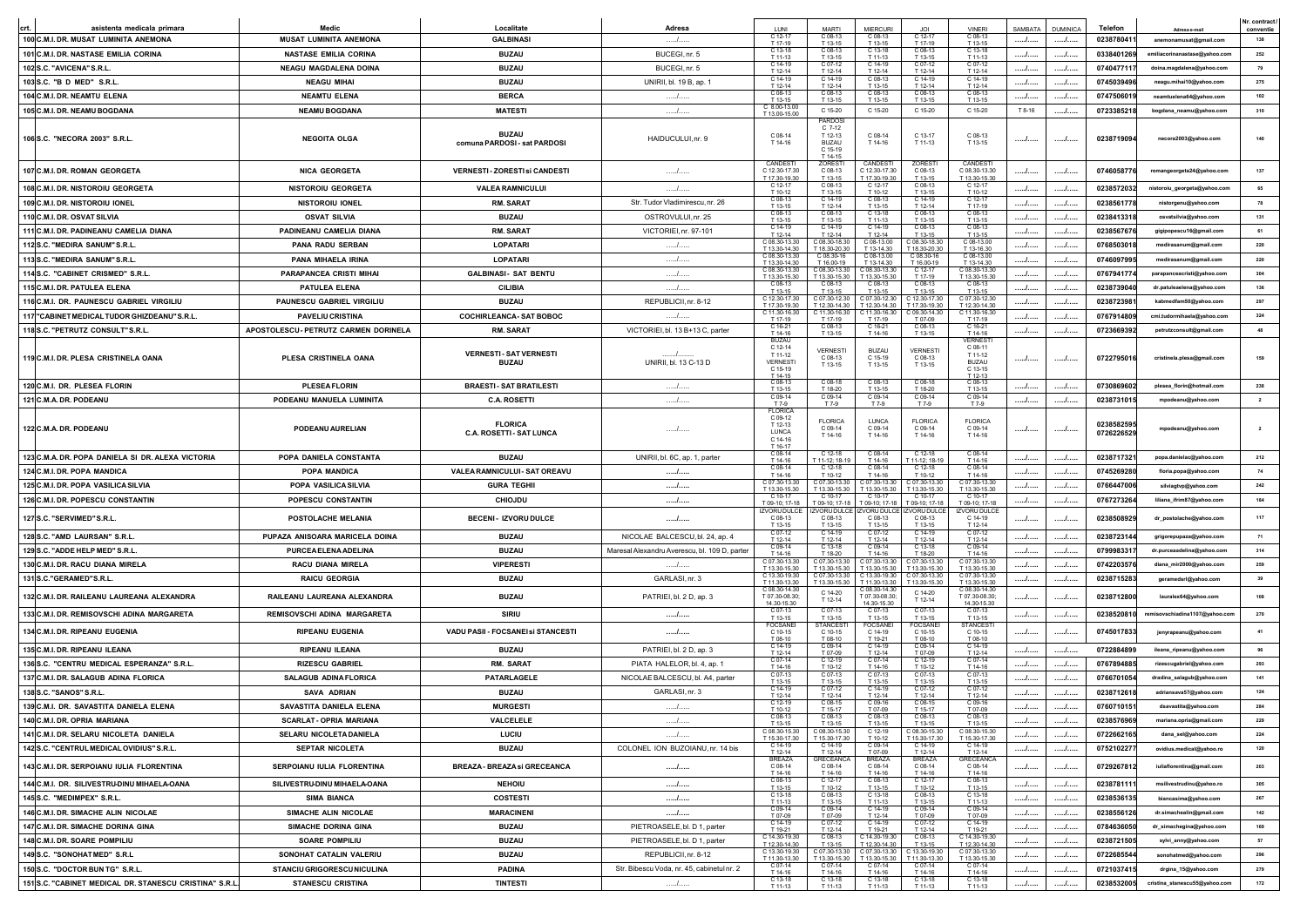|                                                        |                                      |                                              |                                               |                                                                              |                                                                       |                                                 |                                                 |                                                                            |         |                 |                          |                                | Nr. contract   |
|--------------------------------------------------------|--------------------------------------|----------------------------------------------|-----------------------------------------------|------------------------------------------------------------------------------|-----------------------------------------------------------------------|-------------------------------------------------|-------------------------------------------------|----------------------------------------------------------------------------|---------|-----------------|--------------------------|--------------------------------|----------------|
| asistenta medicala primara                             | Medio                                | Localitate                                   | Adresa                                        | $212 - 17$                                                                   | <b>MART</b><br>C 08-1                                                 | <b>MIFRCUR</b><br>208-13                        |                                                 | VINER<br>C 08-13                                                           | SAMBATA | <b>DUMINICA</b> | Telefon                  | Adresa e-mail                  | conventie      |
| 100 C.M.I. DR. MUSAT LUMINITA ANEMONA                  | <b>MUSAT LUMINITA ANEMONA</b>        | <b>GALBINASI</b>                             | .                                             | T 17.19<br>C 13-18                                                           | T 13-15<br>C 08-13                                                    | T 13.15<br>C 13-18                              | T 17.19<br>C 08-13                              | T 13.15<br>$C$ 13-18                                                       | .       |                 | 0238780411               | anemonamusat@gmail.com         | 138            |
| 101 C.M.I. DR. NASTASE EMILIA CORINA                   | <b>NASTASE EMILIA CORINA</b>         | <b>BUZAU</b>                                 | BUCEGI, nr. 5                                 | T 11-13                                                                      | T 13-15                                                               | T 11-13                                         | T 13-15                                         | T 11-13<br>C 07-12                                                         | I       | /               | 0338401269               | emiliacorinanastase@vahoo.com  | 252            |
| 102 S.C. "AVICENA" S.R.L                               | <b>NEAGU MAGDALENA DOINA</b>         | <b>BUZAU</b>                                 | BUCEGI, nr. 5                                 | C 14-19<br>T 12-14                                                           | C 07-12<br>T 12-14                                                    | C 14-19<br>T 12-14                              | C 07-12<br>T 12-14                              | T 12-14                                                                    | /       |                 | 0740477117               | doina.magdalena@yahoo.com      | 79             |
| 103 S.C. "B D MED" S.R.L                               | <b>NEAGU MIHA</b>                    | <b>BUZAU</b>                                 | UNIRII, bl. 19 B, ap. 1                       | $214 - 19$<br>T 12-14                                                        | $C$ 14-19<br>T 12-14                                                  | $208-13$<br>T 13-15                             | T 12-14                                         | C 14-19<br>T 12-14                                                         | I       | /               | 0745039496               | neagu.mihai10@yahoo.com        | 275            |
| 104 C.M.I. DR. NEAMTU ELENA                            | <b>NEAMTU ELENA</b>                  | <b>BERCA</b>                                 | /                                             | C 08-13<br>T 13-15                                                           | C 08-13<br>T 13-15                                                    | $C$ 08-13<br>T 13-15                            | C 08-13<br>T 13-15                              | C 08-13<br>T 13-15                                                         |         |                 | 0747506019               | neamtuelena64@yahoo.com        | 102            |
| 105 C.M.I. DR. NEAMU BOGDANA                           | <b>NEAMU BOGDANA</b>                 | <b>MATESTI</b>                               | .                                             | $C.8.00-13.00$<br>T 13.00-15.00                                              | C 15-20                                                               | C 15-20                                         | C 15-20                                         | C 15-20                                                                    | T 8-16  |                 | 0723385218               | bogdana_neamu@yahoo.com        | 310            |
| 106 S.C. "NECORA 2003" S.R.L.                          | <b>NEGOITA OLGA</b>                  | <b>BUZAU</b><br>comuna PARDOSI - sat PARDOSI | HAIDUCULUI, nr. 9                             | C 08-14<br>T 14-16                                                           | PARDOS<br>$C$ 7-12<br>T 12-13<br><b>BUZAU</b><br>$C.15-19$<br>T 14-15 | $C.08-14$<br>T 14-16                            | $C.13-17$<br>T 11-13                            | C 08-13<br>T 13-15                                                         |         |                 | 0238719094               | necora2003@yahoo.com           |                |
| 107 C.M.I. DR. ROMAN GEORGETA                          | <b>NICA GEORGETA</b>                 | VERNESTI - ZORESTI si CANDESTI               | .                                             | <b>CANDES</b><br>C 12.30-17.30<br>T 17.30-19.30                              | <b>ZORES</b><br>C 08-13<br>T 13-15                                    | CANDES<br>2 12.30-17.30<br>T 17.30-19.30        | ZORES <sup>-</sup><br>C 08-13<br>T 13.15        | CANDES <sub>1</sub><br>C 08.30-13.30<br>T 13.30-15.30                      |         |                 | 0746058776               | romangeorgeta24@yahoo.con      |                |
| 108 C.M.I. DR. NISTOROIU GEORGETA                      | <b>NISTOROIU GEORGETA</b>            | <b>VALEA RAMNICULUI</b>                      | . 1. .                                        | C 12-1<br>T 10-13                                                            | C 08-1<br>T 13-15                                                     | $212-1$<br>T 10-12                              | T 13.15                                         | T 10-12                                                                    | /       |                 | 0238572032               | nistoroiu_georgeta@yahoo.com   | 65             |
| 109 C.M.I. DR. NISTOROIU IONEL                         | <b>NISTOROIU IONEL</b>               | <b>RM. SARAT</b>                             | Str. Tudor Vladimirescu, nr. 26               | $C 08-1$<br>T 13-15                                                          | C 14-19<br>T 12-14                                                    | $208-13$<br>T 13-15                             | T 12-14                                         | T 17-19                                                                    | . /     |                 | 0238561778               | nistorgenu@yahoo.com           |                |
| 110 C.M.I. DR. OSVAT SILVIA                            | <b>OSVAT SILVIA</b>                  | <b>BUZAU</b>                                 | OSTROVULUI, nr. 25                            | $208 - 13$<br>T 13-15                                                        | T 13-15                                                               | C 13-18<br>T 11-13                              | C 08-13<br>T 13-15                              | $C08-13$<br>T 13-15                                                        | I       | /               | 0238413318               | osvatsilvia@yahoo.com          | 131            |
| 111 C.M.I. DR. PADINEANU CAMELIA DIANA                 | PADINEANU CAMELIA DIANA              | <b>RM. SARAT</b>                             | VICTORIEI, nr. 97-101                         | C 14-19<br>T 12-14                                                           | C 14-19<br>T 12-14                                                    | C 14-19<br>T 12-14                              | C 08-13<br>T 13-15                              | C 08-13<br>T 13-15                                                         | I       | /               | 0238567676               | gigipopescu16@gmail.com        | 61             |
| 112 S.C. "MEDIRA SANUM" S.R.L.                         | PANA RADU SERBAN                     | <b>LOPATARI</b>                              | /                                             | C 08.30-13.3<br>T 13.30-14.30                                                | 08.30-18.30<br>T 18.30-20.30                                          | 08-13.00<br>T 13-14 30                          | 08.30-18.3<br>T 18.30-20.3                      | C 08-13.00<br>T 13-16.30                                                   |         |                 | 0768503018               | medirasanum@gmail.con          | 220            |
| 113 S.C. "MEDIRA SANUM" S.R.L.                         | PANA MIHAELA IRINA                   | <b>LOPATARI</b>                              | /                                             | C 08 30-13 30<br>T 13.30-14.30                                               | C 08.30-16<br>T 16.00-19                                              | C 08-13.00<br>T 13-14.30                        | C 08 30-16<br>T 16.00-19                        | C 08-13 00<br>T 13-14.30                                                   | . /     |                 | 0746097995               | medirasanum@gmail.com          | 220            |
| 114 S.C. "CABINET CRISMED" S.R.L.                      | PARAPANCEA CRISTI MIHAI              | <b>GALBINASI- SAT BENTU</b>                  | .                                             | C 08.30-13.30<br>T 13.30-15.30                                               | 2 08.30-13.30<br>T 13.30-15.30                                        | C 08.30-13.30<br>T 13.30-15.30                  | C 12-17<br>T 17-19                              | C 08.30-13.30<br>T 13.30-15.30                                             |         | . /             | 0767941774               | parapanceacristi@yahoo.com     | 304            |
| 115 C.M.I. DR. PATULEA ELENA                           | <b>PATULEA ELENA</b>                 | CILIBIA                                      | .                                             | $C$ 08-13<br>T 13-15                                                         | C 08-13<br>T 13-15                                                    | C 08-13<br>T 13-15                              | C 08-13<br>T 13-15                              | $C$ 08-13<br>T 13-15                                                       | . /     | /               | 0238739040               | dr.patuleaelena@yahoo.com      | 136            |
| 116 C.M.I. DR. PAUNESCU GABRIEL VIRGILIU               | PAUNESCU GABRIEL VIRGILIU            | <b>BUZAU</b>                                 | REPUBLICII, nr. 8-12                          | $C.12.30-17$<br>T 17 30-19 3                                                 | 07 30-12 30<br>12 30-14 30                                            | C 07 30-12 30<br>T 12 30-14 30                  | 21230.17<br>T 17 30-19 3                        | 207.30-12.30<br>12.30-14.30                                                | /       | .               | 0238723981               | kabmedfam50@yahoo.com          | 297            |
| 117 "CABINET MEDICAL TUDOR GHIZDEANU"S.R.L.            | <b>PAVELIU CRISTINA</b>              | <b>COCHIRLEANCA-SAT BOBOC</b>                | . /                                           | C 11 30-16 30                                                                | 11.30-16.30                                                           | 211.30-16.30                                    | 09 30 14 3                                      | C 11.30-16.30                                                              |         |                 | 0767914809               | cmi.tudormihaela@yahoo.com     |                |
| 118 S.C. "PETRUTZ CONSULT" S.R.L                       | APOSTOLESCU- PETRUTZ CARMEN DORINELA | <b>RM. SARAT</b>                             | VICTORIEI, bl. 13 B+13 C, parter              | T 17-19<br>C 16-2                                                            | T 17-19<br>C 08-13                                                    | T 17-19<br>C 16-21                              | T 07-09<br>$C.08-13$                            | T 17-19<br>C 16-21                                                         | . /     | .               | 0723669392               | petrutzconsult@gmail.com       | 48             |
| 119 C.M.I. DR. PLESA CRISTINELA OANA                   | PLESA CRISTINELA OANA                | <b>VERNESTI-SAT VERNESTI</b><br><b>BUZAU</b> | .<br>UNIRII, bl. 13 C-13 D                    | T 14-16<br>BUZAL<br>C 12-14<br>T 11-12<br><b>VERNEST</b><br>C 15-19          | T 13-15<br><b>VERNEST</b><br>C 08-13<br>T 13-15                       | T 14-16<br><b>BUZAL</b><br>C 15-19<br>T 13-15   | T 13-15<br><b>VERNEST</b><br>C 08-13<br>T 13-15 | T 14-16<br><b>VERNEST</b><br>C 08-11<br>T 11-12<br><b>BUZAU</b><br>C 13-15 | . 1     |                 | 0722795016               | cristinela.plesa@gmail.com     |                |
| 120 C.M.I. DR. PLESEA FLORIN                           | <b>PLESEAFLORIN</b>                  | <b>BRAESTI-SAT BRATILESTI</b>                | .                                             | T 14-15<br>C 08-13                                                           | C 08-18                                                               | C 08-13                                         | C 08-18                                         | T 12-13<br>C 08-13                                                         | . 1.    | . /             | 0730869602               | plesea_florin@hotmail.com      | 238            |
| 121 C.M.A. DR. PODEANU                                 | PODEANU MANUELA LUMINITA             | <b>C.A. ROSETTI</b>                          | /                                             | T 13.15<br>C 09-14                                                           | T 18-20<br>C 09-14                                                    | T 13-15<br>C 09-14                              | T 18-20<br>C 09-14                              | T 13-15<br>C 09-14                                                         | /       | I               | 0238731015               | mpodeanu@yahoo.com             | $\overline{2}$ |
| 122 C.M.A. DR. PODEANU                                 | PODEANU AURELIAN                     | <b>FLORICA</b><br>C.A. ROSETTI - SAT LUNCA   | .                                             | T 7.9<br><b>FLORICA</b><br>C 09-12<br>T 12-13<br>LUNCA<br>C 14-16<br>T 16-17 | T 7-9<br><b>FLORICA</b><br>$C.09-14$<br>T 14-16                       | T 7-9<br><b>I UNCA</b><br>$C.09-14$<br>T 14-16  | T 7-9<br><b>FLORICA</b><br>$C.09-14$<br>T 14-16 | T 7-9<br>FI ORICA<br>$C.09-14$<br>T 14-16                                  |         |                 | 0238582595<br>0726226529 | npodeanu@yahoo.con             | $\overline{2}$ |
| 123 C.M.A. DR. POPA DANIELA SI DR. ALEXA VICTORIA      | POPA DANIELA CONSTANTA               | <b>BUZAU</b>                                 | UNIRII, bl. 6C, ap. 1, parter                 | C 08-14<br>T 14-16                                                           | $C$ 12-18<br>11-12; 18-19                                             | C 08-14<br>T 14-16                              | $C$ 12-18<br>11-12; 18-1                        | $C$ 08-14<br>T 14-16                                                       | . /     | . /             | 0238717321               | popa.danielac@yahoo.com        | 212            |
| 124 C.M.I. DR. POPA MANDICA                            | <b>POPA MANDICA</b>                  | VALEA RAMNICULUI - SAT OREAVU                |                                               | $C 08-14$<br>T 14-16                                                         | C 12-18<br>T 10-12                                                    | C 08-14<br>T 14-16                              | $C$ 12-18<br>T 10-12                            | C 08-14<br>T 14-16                                                         | . /     | .               | 0745269280               | floria.popa@yahoo.com          |                |
| 125 C.M.I. DR. POPA VASILICA SILVIA                    | POPA VASILICA SILVIA                 | <b>GURA TEGHII</b>                           |                                               | C 07 30-13<br>T 13.30-15.30                                                  | 07 30 13 3<br>13.30-15.30                                             | 07 30 13 3<br>T 13 30-15 30                     | 07.30-13.3<br>T 13.30-15.30                     | 07 30-13 30<br>T 13.30-15.30                                               | . 1.    |                 | 0766447006               | silviagtvp@yahoo.com           | 242            |
| 126 C.M.I. DR. POPESCU CONSTANTIN                      | POPESCU CONSTANTIN                   | <b>CHIOJDU</b>                               |                                               | $C.10-17$<br>T09-10:17-18                                                    | $C.10-17$                                                             | C 10-17<br>09-10:17-18 T 09-10:17-18            | $C.10-17$<br>$09-10:17-1$                       | $C.10-17$<br>T 09-10: 17-18                                                | . /     |                 | 0767273264               | liliana_ifrim87@yahoo.com      | 184            |
| 127 S.C. "SERVIMED" S.R.L                              | POSTOLACHE MELANIA                   | <b>BECENI- IZVORU DULCE</b>                  | /                                             | <b>IZVORU DULCI</b><br>C 08-13<br>T 13-15                                    | VORU DULCE<br>C 08-13<br>T 13-15                                      | <b>IZVORU DULCI</b><br>C 08-13<br>T 13-15       | VORU DULC<br>C 08-13<br>T 13-15                 | ZVORU DULCE<br>C 14-19<br>T 12-14                                          |         |                 | 0238508929               | dr_postolache@yahoo.com        |                |
| 128 S.C. "AMD LAURSAN" S.R.L.                          | PUPAZA ANISOARA MARICELA DOINA       | <b>BUZAU</b>                                 | NICOLAE BALCESCU, bl. 24, ap. 4               | $C 07-12$<br>T 12-14                                                         | C 14-19<br>T 12-14                                                    | C 07-12<br>T 12-14                              | $C$ 14-19<br>T 12-14                            | C 07-12<br>T 12-14                                                         | . /     | . /             | 0238723144               | grigorepupaza@yahoo.com        |                |
| 129 S.C. "ADDE HELP MED" S.R.L                         | PURCEA ELENA ADELINA                 | <b>BUZAU</b>                                 | Maresal Alexandru Averescu, bl. 109 D, parter | C 09-14<br>T 14-16                                                           | C 13-18<br>T 18-21                                                    | C 09-14<br>T 14-16                              | $C$ 13-18<br>T 18-20                            | C 09-14<br>T 14-16                                                         | . /     |                 | 0799983317               | dr.purceaadelina@yahoo.com     | 314            |
| 130 C.M.I. DR. RACU DIANA MIRELA                       | <b>RACU DIANA MIRELA</b>             | <b>VIPERESTI</b>                             | .                                             | C 07 30-13 30                                                                | C 07.30-13.30                                                         | C 07 30-13 30                                   | C 07 30-13 3                                    | 07 30 13 30                                                                | . /     | .               | 0742203576               | diana_mir2000@yahoo.com        | 259            |
| 131 S.C."GERAMED"S.R.L                                 | <b>RAICU GEORGIA</b>                 | <b>BUZAU</b>                                 | GARLASI, nr. 3                                | T 13 30-15 30<br>C 13 30-19 30<br>T 11 30-13 30                              | T 13 30-15 30<br>C 07.30-13.30                                        | T 13 30-15 30<br>C 13.30-19.30<br>T 11 30-13 30 | T 13 30-15 30<br>C 07 30-13 3                   | T 13 30-15 30<br>C 07.30-13.30<br>T 13 30-15 3                             | /       | . /             | 0238715283               | geramedsrl@yahoo.com           | 39             |
| 132 C.M.I. DR. RAILEANU LAUREANA ALEXANDRA             | RAILEANU LAUREANA ALEXANDRA          | <b>BUZAU</b>                                 | PATRIEI, bl. 2 D, ap. 3                       | C.08 30-14 30<br>T 07.30-08.30<br>14 30 15 30                                | T 13.30-15.30<br>C 14-20<br>T 12-14                                   | 08 30-14 30<br>T 07.30-08.30<br>14 30 15 30     | T 13.30-15.3<br>C 14-20<br>T 12-14              | 08 30 14 30<br>T 07.30-08.30;<br>14 30 15 30                               |         | . /             | 0238712800               | lauralex64@yahoo.com           | 108            |
| 133 C.M.I. DR. REMISOVSCHI ADINA MARGARETA             | <b>REMISOVSCHI ADINA MARGARETA</b>   | SIRIU                                        | /                                             | C 07-13<br>T 13-15                                                           | C 07-13<br>T 13.15                                                    | C 07-13<br>T 13.15                              | C 07-13<br>T 13.15                              | C 07-13<br>T 13-15                                                         | /       | /               | 0238520810               | remisovschiadina1107@yahoo.com | 270            |
| 134 C.M.I. DR. RIPEANU EUGENIA                         | <b>RIPEANU EUGENIA</b>               | VADU PASII - FOCSANEI SI STANCESTI           | /                                             | FOCSANE<br>C 10-15<br>T 08-10                                                | STANCES<br>C 10-15<br>T 08-10                                         | <b>OCSANE</b><br>C 14-19<br>T 19-2              | <b>OCSAN</b><br>C 10-15<br>T 08-10              | <b>STANCEST</b><br>C 10-15<br>T 08-1                                       | . /     | . /             | 0745017833               | jenyrapeanu@yahoo.com          |                |
| 135 C.M.I. DR. RIPEANU ILEANA                          | <b>RIPEANU ILEANA</b>                | <b>BUZAU</b>                                 | PATRIEI, bl. 2 D, ap. 3                       | C 14-19<br>T 12-14                                                           | C 09-14<br>T 07-09                                                    | C 14-19<br>T 12-14                              | C 09-14<br>T 07-09                              | C 14-19<br>T 12-14                                                         | I       | /               | 0722884899               | ileana_ripeanu@yahoo.com       |                |
| 136 S.C. "CENTRU MEDICAL ESPERANZA" S.R.L.             | <b>RIZESCU GABRIEL</b>               | RM. SARAT                                    | PIATA HALELOR, bl. 4, ap. 1                   | C 07-14<br>T 14-16                                                           | C 12-19<br>T 10-12                                                    | C 07-14<br>T 14-16                              | C 12-19<br>T 10-12                              | C 07-14<br>T 14-16                                                         | /       | /               | 0767894885               | rizescugabriel@yahoo.con       | 293            |
| 137 C.M.I. DR. SALAGUB ADINA FLORICA                   | <b>SALAGUB ADINA FLORICA</b>         | <b>PATARLAGELE</b>                           | NICOLAE BALCESCU, bl. A4, parter              | C 07-13<br>T 13-15                                                           | T 13-15                                                               | $207-13$<br>T 13-15                             | T 13-15                                         | C 07-13<br>T 13-15                                                         | I       |                 | 0766701054               | dradina_salagub@yahoo.con      |                |
| 138 S.C. "SANOS" S.R.L.                                | <b>SAVA ADRIAN</b>                   | <b>BUZAU</b>                                 | GARLASI, nr. 3                                | $C$ 14-19<br>T 12-14                                                         | C 07-12<br>T 12-14                                                    | C 14-19<br>T 12-14                              | $C.07-12$<br>T 12-14                            | C 07-12<br>T 12-14                                                         | . /     | /               | 0238712618               | adriansava57@yahoo.com         | 124            |
| 139 C.M.I. DR. SAVASTITA DANIELA ELENA                 | SAVASTITA DANIELA ELENA              | <b>MURGESTI</b>                              | . /                                           | $C$ 12-19<br>T 10-12                                                         | C 08-15<br>T 15-17                                                    | C 09-16<br>T07-09                               | C 08-15<br>T 15-17                              | C 09-16<br>T07-09                                                          |         | . /             | 0760710151               | dsavastita@yahoo.com           |                |
| 140 C.M.I. DR. OPRIA MARIANA                           | SCARLAT - OPRIA MARIANA              | VALCELELE                                    | /                                             | C 08-13<br>T 13-15                                                           | C 08-13<br>T 13-15                                                    | C 08-13<br>T 13-15                              | C 08-13<br>T 13-15                              | C 08-13<br>T 13-15                                                         |         |                 | 0238576969               | mariana.opria@gmail.com        | 229            |
| 141 C.M.I. DR. SELARU NICOLETA DANIELA                 | SELARU NICOLETA DANIELA              | <b>LUCIU</b>                                 | /                                             | C 08 30-15 30<br>T 15.30-17.30                                               | C 08.30-15.30<br>T 15.30-17.30                                        | C 12-19<br>T 10-12                              | C 08.30-15.30<br>T 15.30-17.30                  | C 08.30-15.30<br>T 15.30-17.30                                             | /       | /               | 0722662165               | dana_sel@yahoo.com             | 224            |
| 142 S.C. "CENTRUL MEDICAL OVIDIUS" S.R.L.              | SEPTAR NICOLETA                      | <b>BUZAU</b>                                 | COLONEL ION BUZOIANU, nr. 14 bis              | $C.14-19$<br>T 12-14                                                         | C 14-19<br>T 12-14                                                    | $C.09-14$<br>T 07-09                            | $C.14-19$<br>$T$ 12-14                          | C 14-19<br>T 12-14                                                         | /       |                 | 0752102277               | ovidius.medical@yahoo.ro       | 120            |
| 143 C.M.I. DR. SERPOIANU IULIA FLORENTINA              | SERPOIANU IULIA FLORENTINA           | <b>BREAZA - BREAZA si GRECEANCA</b>          | /                                             | <b>BREAZA</b><br>C 08-14<br>T 14-16                                          | GRECEANCA<br>C 08-14<br>T 14-16                                       | <b>BREAZA</b><br>C 08-14<br>T 14-16             | <b>BRFAZA</b><br>C 08-14<br>T 14-16             | <b>GRECEANCA</b><br>C 08-14<br>T 14-16                                     | . /     |                 | 0729267812               | iuliaflorentina@gmail.com      | 203            |
| 144 C.M.I. DR. SILIVESTRU-DINU MIHAELA-OANA            | SILIVESTRU-DINU MIHAELA-OANA         | <b>NEHOIU</b>                                | 1                                             | C 08-13<br>T 13-15                                                           | $C$ 12-17<br>T 10-12                                                  | C 08-13<br>T 13-15                              | C 12-17<br>T 10-12                              | C 08-13<br>T 13-15                                                         | /       |                 | 0238781111               | msilivestrudinu@yahoo.ro       | 305            |
| 145 S.C. "MEDIMPEX" S.R.L.                             | <b>SIMA BIANCA</b>                   | <b>COSTESTI</b>                              | /                                             | C 13-18<br>T 11-13                                                           | C 08-1<br>T 13-15                                                     | 3 13 18<br>T 11-13                              | C 08-13<br>T 13-15                              | $C$ 13-18<br>T 11-13                                                       | /       | /               | 0238536135               | biancasima@yahoo.com           | 267            |
| 146 C.M.I. DR. SIMACHE ALIN NICOLAE                    | SIMACHE ALIN NICOLAE                 | <b>MARACINENI</b>                            | /                                             | C 09-14<br>T 07-09                                                           | C 09-14<br>T 07-09                                                    | C 14-19<br>T 12-14                              | C 09-14<br>T 07-09                              | C 09-14<br>T 07-09                                                         | /       |                 | 0238556126               | dr.simachealin@gmail.com       | 142            |
| 147 C.M.I. DR. SIMACHE DORINA GINA                     | SIMACHE DORINA GINA                  | <b>BUZAU</b>                                 | PIETROASELE, bl. D 1, parter                  | C 14-19<br>T 19-21                                                           | C 07-12<br>T 12-14                                                    | C 14-19<br>T 19-21                              | C 07-12<br>T 12-14                              | C 14-19<br>T 19-21                                                         | /       | /               | 0784636050               | dr_simachegina@yahoo.com       | 169            |
| 148 C.M.I. DR. SOARE POMPILIU                          | <b>SOARE POMPILIU</b>                | <b>BUZAU</b>                                 | PIETROASELE, bl. D 1, parter                  | C 14.30-19.30<br>T 12.30-14.30                                               | C 08-13<br>T 13-15                                                    | 314.30-19.30<br>T 12.30-14.30                   | C 08-13<br>T 13-15                              | 214.30-19.30<br>T 12.30-14.30                                              | I       | /               | 0238721505               | sylvi_anny@yahoo.com           | 57             |
| 149 S.C. "SONOHAT MED" S.R.L                           | SONOHAT CATALIN VALERIU              | <b>BUZAU</b>                                 | REPUBLICII, nr. 8-12                          | C 13.30-19.30                                                                |                                                                       | C 07.30-13.30 C 07.30-13.30                     | C 13.30-19.30                                   | C 07.30-13.30                                                              |         |                 | 0722685544               | sonohatmed@yahoo.com           | 296            |
| 150 S.C. "DOCTOR BUN TG" S.R.L.                        | STANCIU GRIGORESCU NICULINA          | <b>PADINA</b>                                | Str. Bibescu Voda, nr. 45, cabinetul nr. 2    | T 11.30-13.30<br>C 07-14                                                     | T 13.30-15.30<br>C 07-14                                              | T 13.30-15.30<br>C 07-14                        | T 11.30-13.30<br>C 07-14                        | T 13.30-15.30<br>C 07-14                                                   | /       |                 | 0721037415               | drgina_15@yahoo.com            | 279            |
| 151 S.C. "CABINET MEDICAL DR. STANESCU CRISTINA" S.R.L | <b>STANESCU CRISTINA</b>             | <b>TINTESTI</b>                              | /                                             | T 14-16<br>C 13-18<br>T 11-13                                                | T 14-16<br>C 13-18<br>T 11-13                                         | T 14-16<br>C 13-18<br>T 11-13                   | T 14-16<br>C 13-18                              | T 14-16<br>C 13-18                                                         |         | /               | 0238532005               | cristina_stanescu55@yahoo.com  | 172            |
|                                                        |                                      |                                              |                                               |                                                                              |                                                                       |                                                 | T 11-13                                         | T 11-13                                                                    |         |                 |                          |                                |                |